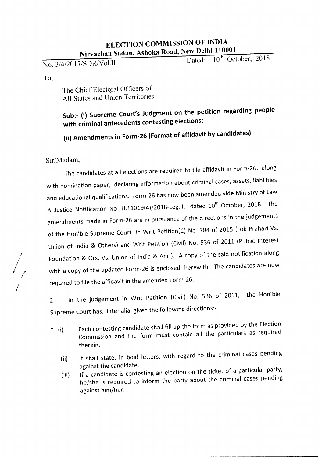# ELECTION COMMISSION OF INDIA Nirvachan Sadan, Ashoka Road, New Delhi-110001

No. 3/4/2017/SDR/Vol.II Dated: 10<sup>th</sup> October, 2018

To,

The Chief Electoral Officers of All States and Union Territories.

# Sub:- (i) Supreme Court's Judgment on the petition regarding people with criminal antecedents contesting elections;

(ii) Amendments in Form-26 (Format of affidavit by candidates).

Sir/Madam,

The candidates at all elections are required to file affidavit in Form-26, along with nomination paper, declaring information about criminal cases, assets, liabilities and educational qualifications. Form-26 has now been amended vide Ministry of Law & Justice Notification No. H.11019(4)/2018-Leg.II, dated 10<sup>th</sup> October, 2018. The amendments made in Form-26 are in pursuance of the directions in the judgements of the Hon'ble Supreme Court in Writ Petition(C) No. 784 of 2015 (Lok Prahari Vs. Union of India & Others) and Writ Petition (Civil) No. 536 of 2011 (Public Interest Foundation & Ors. Vs. Union of India & Anr.). A copy of the said notification along with a copy of the updated Form-26 is enclosed herewith. The candidates are now required to file the affidavit in the amended Form-26.

2. In the judgement in Writ Petition (Civil) No. 536 of 2011, the Hon'ble Supreme Court has, inter alia, given the following directions:-

- <sup>*4</sup>* (i) Each contesting candidate shall fill up the form as provided by the Election</sup> Commission and the form must contain all the particulars as required therein.
	- (ii) It shall state, in bold letters, with regard to the criminal cases pending against the candidate.
	- (iii) If a candidate is contesting an election on the ticket of a particular party, he/she is required to inform the party about the criminal cases pending against him/her.

/  $\sqrt{\frac{1}{2}}$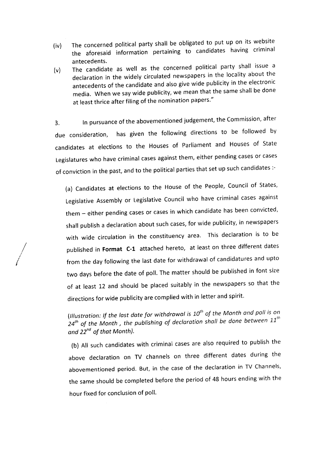- (iv) The concerned political party shall be obligated to put up on its website the aforesaid information pertaining to candidates having criminal antecedents.
- (v) The candidate as well as the concerned political party shall issue a declaration in the widely circulated newspapers in the locality about the antecedents of the candidate and also give wide publicity in the electronic media. When we say wide publicity, we mean that the same shall be done at least thrice after filing of the nomination papers."

3. In pursuance of the abovementioned judgement, the Commission, after due consideration, has given the following directions to be followed by candidates at elections to the Houses of Parliament and Houses of State Legislatures who have criminal cases against them, either pending cases or cases of conviction in the past, and to the political parties that set up such candidates :-

(a) Candidates at elections to the House of the People, Council of States, Legislative Assembly or Legislative Council who have criminal cases against them - either pending cases or cases in which candidate has been convicted, shall publish a declaration about such cases, for wide publicity, in newspapers with wide circulation in the constituency area. This declaration is to be published in **Format (-1** attached hereto, at least on three different dates from the day following the last date for withdrawal of candidatures and upto two days before the date of poll. The matter should be published in font size of at least 12 and should be placed suitably in the newspapers so that the directions for wide publicity are complied with in letter and spirit.

/*I*

/

*{Illustration: If the last date for withdrawal is io" of the Month and poll is on 24th of the Month <sup>I</sup> the publishing of declaration shall be done between ii" and zr" of that Month}.*

(b) All such candidates with criminal cases are also required to publish the above declaration on TV channels on three different dates during the abovementioned period. But, in the case of the declaration in TV Channels, the same should be completed before the period of 48 hours ending with the hour fixed for conclusion of poll.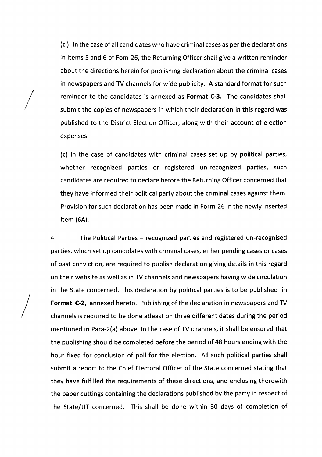(c) In the caseof all candidateswho havecriminal casesasper the declarations in Items 5 and 6 of Fom-26, the Returning Officer shall give a written reminder about the directions herein for publishing declaration about the criminal cases in newspapers and TV channels for wide publicity. A standard format for such reminder to the candidates is annexed as **Format** C-3. The candidates shall submit the copies of newspapers in which their declaration in this regard was published to the District Election Officer, along with their account of election expenses.

/

 $\bigg/$ 

(c) In the case of candidates with criminal cases set up by political parties, whether recognized parties or registered un-recognized parties, such candidates are required to declare before the Returning Officer concerned that they have informed their political party about the criminal cases against them. Provision for such declaration has been made in Form-26 in the newly inserted Item (6A).

4. The Political Parties - recognized parties and registered un-recognised parties, which set up candidates with criminal cases, either pending cases or cases of past conviction, are required to publish declaration giving details in this regard on their website as well as in TV channels and newspapers having wide circulation in the State concerned. This declaration by political parties is to be published in **Format** C-2, annexed hereto. Publishingof the declaration in newspapers and TV channels is required to be done atleast on three different dates during the period mentioned in Para-2(a) above. In the case of TV channels, it shall be ensured that the publishing should be completed before the period of 48 hours ending with the hour fixed for conclusion of poll for the election. All such political parties shall submit a report to the Chief Electoral Officer of the State concerned stating that they have fulfilled the requirements of these directions, and enclosing therewith the paper cuttings containing the declarations published by the party in respect of the State/UT concerned. This shall be done within 30 days of completion of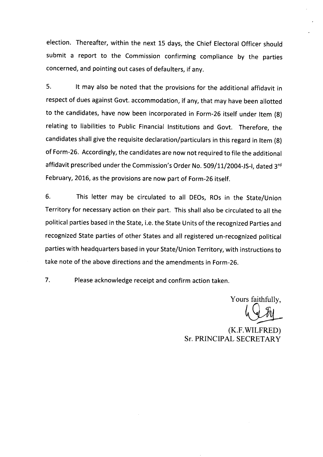election. Thereafter, within the next 15 days, the Chief Electoral Officer should submit a report to the Commission confirming compliance by the parties concerned, and pointing out cases of defaulters, if any.

5. It may also be noted that the provisions for the additional affidavit in respect of dues against Govt. accommodation, if any, that may have been allotted to the candidates, have now been incorporated in Form-26 itself under Item (8) relating to liabilities to Public Financial Institutions and Govt. Therefore, the candidates shall give the requisite declaration/particulars in this regard in Item (8) of Form-26. Accordingly, the candidates are now not required to file the additional affidavit prescribed under the Commission's Order No. 509/11/2004-JS-I, dated 3rd February, 2016, asthe provisions are now part of Form-26 itself.

6. This letter may be circulated to all DEOs, ROs in the State/Union Territory for necessary action on their part. This shall also be circulated to all the political parties based in the State, i.e. the State Units of the recognized Parties and recognized State parties of other States and all registered un-recognized political parties with headquarters based in your State/Union Territory, with instructions to take note of the above directions and the amendments in Form-26.

7. Please acknowledge receipt and confirm action taken.

Yours faithfully,

(K.F. WILFRED) Sr. PRINCIPAL SECRETARY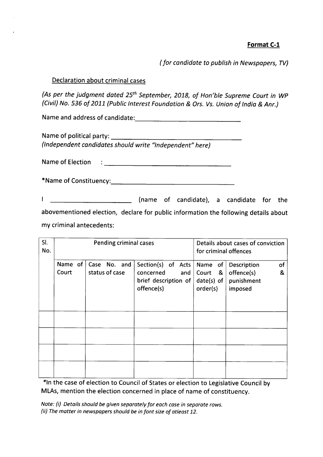## **Format C-1**

*(for candidate* to *publish in Newspapers,TV)*

## Declaration about criminal cases

*(As per the judgment dated 25th September, 2018, of Hon'ble Supreme Court in WP (Civil)No.* 536 *of 2011 (PublicInterest Foundation* & *Drs. Vs.Union of India* & *Anr.)*

Name and address of candidate: '------------------------------------------------------

Name of political party: \_

*(Independent candidates should write "Independent" here)*

Name of Election  $\mathcal{L}^{\pm}$ 

| *Name of Constituency: |  |
|------------------------|--|
|------------------------|--|

**EXALLE 2018** (name of candidate), a candidate for the T. abovementioned election, declare for public information the following details about my criminal antecedents:

| SI.<br>No. |                      | <b>Pending criminal cases</b>  |                                                                              | for criminal offences                        | Details about cases of conviction                             |
|------------|----------------------|--------------------------------|------------------------------------------------------------------------------|----------------------------------------------|---------------------------------------------------------------|
|            | Name of $ $<br>Court | Case No. and<br>status of case | Section(s) of Acts<br>concerned<br>and<br>brief description of<br>offence(s) | Name of<br>Court &<br>date(s) of<br>order(s) | Description<br>of<br>offence(s)<br>&<br>punishment<br>imposed |
|            |                      |                                |                                                                              |                                              |                                                               |
|            |                      |                                |                                                                              |                                              |                                                               |
|            |                      |                                |                                                                              |                                              |                                                               |
|            |                      |                                |                                                                              |                                              |                                                               |

\*In the case of election to Council of States or election to Legislative Council by MLAs, mention the election concerned in place of name of constituency.

*Note: (i)* Details should be given separately for each case in separate rows. *(ii) Thematter in newspapers should be infont sizeof atleast 12.*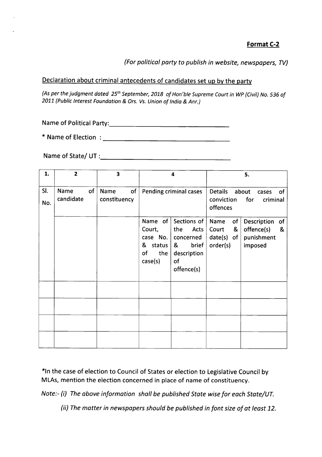*(For political party to publish in website, newspapers, TV)*

## Declaration about criminal antecedents of candidates set up by the party

*{Asper thejudgment dated* 25th *September,2018 of Hon'ble Supreme Court in WP(Civil) No.* 536 *of 2011 (Public Interest Foundation* & *Ors. Vs.Union of India* & *Anr.)*

Name of Political Party:. \_

\* Name of Election :------------------

Name of State/ UT : \_

| 1.         | $\mathbf{2}$            | 3                          | 4                                                                                                                                                                 | 5.                                                                                                                    |
|------------|-------------------------|----------------------------|-------------------------------------------------------------------------------------------------------------------------------------------------------------------|-----------------------------------------------------------------------------------------------------------------------|
| SI.<br>No. | of<br>Name<br>candidate | of<br>Name<br>constituency | Pending criminal cases                                                                                                                                            | Details about<br>of<br>cases<br>for<br>conviction<br>criminal<br>offences                                             |
|            |                         |                            | Name of<br>Sections of<br>Court,<br>the<br>Acts<br>case No. $ $<br>concerned<br>& status<br>&<br>brief<br>of<br>the<br>description<br>case(s)<br>of<br>offence(s) | Name<br>of<br>Description<br>of<br>&<br>offence(s)<br>&<br>Court<br>punishment<br>$date(s)$ of<br>order(s)<br>imposed |
|            |                         |                            |                                                                                                                                                                   |                                                                                                                       |
|            |                         |                            |                                                                                                                                                                   |                                                                                                                       |
|            |                         |                            |                                                                                                                                                                   |                                                                                                                       |
|            |                         |                            |                                                                                                                                                                   |                                                                                                                       |

\*In the case of election to Council of States or election to Legislative Council by MLAs, mention the election concerned in place of name of constituency.

*Note:- (i) The above information shall be published State wise for each State/UT.*

*(ii) The matter in newspapers should be published in font size of at least 12.*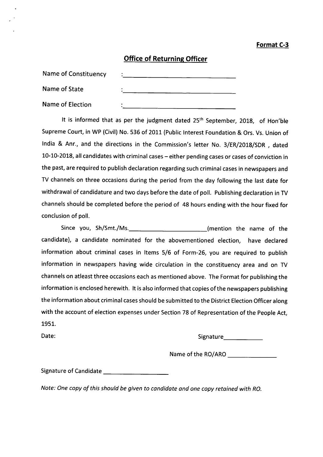### **Format C-3**

## **Office of Returning Officer**

| <b>Name of Constituency</b> |   |
|-----------------------------|---|
| Name of State               | ٠ |
| Name of Election            |   |

It is informed that as per the judgment dated 25<sup>th</sup> September, 2018, of Hon'ble Supreme Court, in WP (Civil) No. 536 of 2011 (Public Interest Foundation & Ors. Vs. Union of India & Anr., and the directions in the Commission's letter No. 3/ER/2018/SDR , dated 10-10-2018, all candidates with criminal cases - either pending cases or cases of conviction in the past, are required to publish declaration regarding such criminal cases in newspapers and TV channels on three occasions during the period from the day following the last date for withdrawal of candidature and two days before the date of poll. Publishing declaration in TV channels should be completed before the period of 48 hours ending with the hour fixed for conclusion of poll.

Since you, Sh/Smt./Ms. Change of the name of the candidate), a candidate nominated for the abovementioned election, have declared information about criminal cases in Items 5/6 of Form-26, you are required to publish information in newspapers having wide circulation in the constituency area and on TV channels on atleast three occasions each as mentioned above. The Format for publishing the information is enclosed herewith. It is also informed that copies of the newspapers publishing the information about criminal cases should be submitted to the District Election Officer along with the account of election expenses under Section 78 of Representation of the People Act, 1951.

Date: Signature. The Signature of the Signature of the Signature of the Signature of the Signature of the Signature of the Signature of the Signature of the Signature of the Signature of the Signature of the Signature of t

Name ofthe RO/ARO \_

Signature of Candidate \_

*Note: One copy of this should be given* to *candidate and one copy retained with RO.*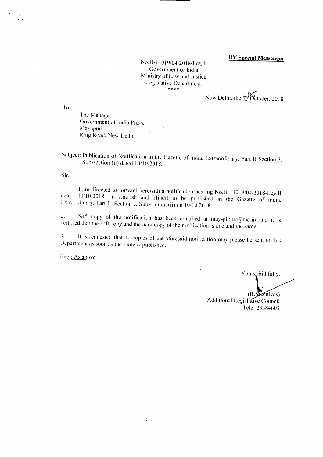#### **BY Special Messenger**

No. B-1 10 *19i04/20* IS-Leg.1I Government of India Ministry of Law and Justice Legislative Department \*\*\*\* *»:*

New Delhi, the 'D'October, 2018

1'0

The Manager Government of India Press, Mayapuri Ring Road, New Delhi

Subject: Publication of Notification in the Gazette of India, Extraordinary, Part II Section 3, Sub-section (ii) dated 10/10/2018.

Sir.

I am directed to forward herewith a notification bearing No.H-11 0 19/04/20 IS-Leg.1I dated *10/10/2018* (in English and Hindi) to be published in the Gazette of India, Extraordinary, Part II, Section 3. Sub-section (ii) on 10/10.2018.

2. Soft copy of the notification has been e-mailed at may-gipprr@nic.in and it is certified that the soft copy and the hard copy of the notification is one and the same.

3. It is requested that 10 copies of the aforesaid notification may please be sent to this Department as soon as the same is published.

Encl: As above

Yours faithfully,

(R eenivas) Additional Legislative Council Ide: 23384603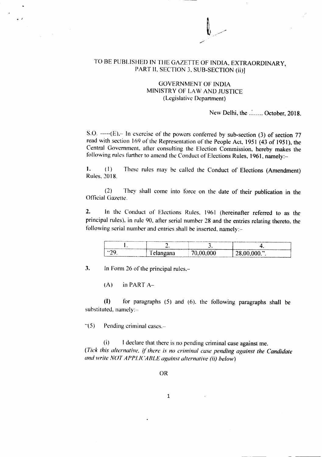### TO BE PUBLISHED IN THE GAZETTE OF INDIA, EXTRAORDINARY, PART II. SECTION 3, SUB-SECTION (ii)]

#### GOVERNMENT OF INDIA MINISTRY OF LAW AND JUSTICE (Legislative Department)

New Delhi, the ....... October, 2018.

S.O.  $---(E)$ . In exercise of the powers conferred by sub-section (3) of section 77 read with section 169 of the Representation of the People Act, 1951 (43 of 1951), the Central Government. after consulting the Election Commission. hereby makes the following rules further to amend the Conduct of Elections Rules, 1961, namely:-

l. (I) These rules may be called the Conduct of Elections (Amendment) Rules. 2018.

(2) They shall come into force on the date of their publication in the **Official Gazette.** 

2. In the Conduct of Elections Rules. 1961 (hereinafter referred to as the principal rules). in rule 90. after serial number 28 and the entries relating thereto. the following serial number and entries shall be inserted, namely:-

| --------<br>---------------<br><b><i><u>Property</u></i></b> | . .                            | PATERONY. IN INSTITUTE COPYRIGHT AND RELEASED ENGINEERING AND MODERN PERSON IN EXPLORATION OF A RELEASED AND RELEASED<br>~ |      |
|--------------------------------------------------------------|--------------------------------|----------------------------------------------------------------------------------------------------------------------------|------|
| <b>SID</b>                                                   | $\cdots$<br>$\sim$ . an $\sim$ |                                                                                                                            | .n » |

3. In Form 26 of the principal rules.-

 $(A)$  in PART  $A-$ 

(I) for paragraphs (5) and (6). the following paragraphs shall be substituted, namely:-

 $\degree$ (5) Pending criminal cases.-

(i) I declare that there is no pending criminal case against me. *(Tick this alternative, ifthere is no criminal case pending against the Candidate and write NOT APPL/( 'ABLE against alternative (ii) below)*

1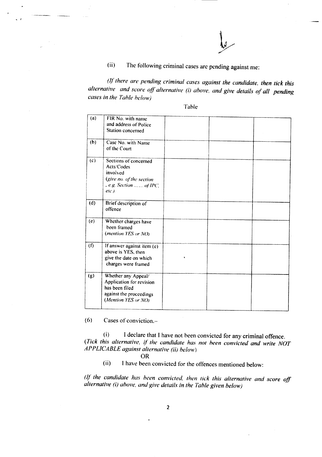(ii) The following criminal cases are pending against me:

*atthere are pending criminal cases against the candidate. then tick this alternative* and *score off* alternative (i) above, and give details of all pending *cases in the Table be/ow)*

Table

| (a) | FIR No. with name<br>and address of Police                                                                          |  |  |
|-----|---------------------------------------------------------------------------------------------------------------------|--|--|
|     | Station concerned                                                                                                   |  |  |
| (b) | Case No. with Name<br>of the Court                                                                                  |  |  |
| (c) | Sections of concerned<br>Acts/Codes<br>involved<br>(give no. of the section<br>e.g. Section of IPC,<br>$enc.$ ).    |  |  |
| (d) | Brief description of<br>offence                                                                                     |  |  |
| (e) | Whether charges have<br>been framed<br>(mention YES or NO)                                                          |  |  |
| (f) | If answer against item (e)<br>above is YES, then<br>give the date on which<br>charges were framed                   |  |  |
| (g) | Whether any Appeal/<br>Application for revision<br>has been filed<br>against the proceedings<br>(Mention YES or NO) |  |  |
|     |                                                                                                                     |  |  |

 $(6)$  Cases of conviction.-

*• J*

(i) I declare that I have not heen convicted for any criminal offence. *(Tick this alternative. if the candidate has not been convicted and write NOT APPLICABLE against alternative (ii) belov...)*

OR

(ii) I have been convicted for the offences mentioned below:

*(lfthe candidate has been convicted. then lick this alternative and score off alternative (i) above, and give details in the Table given below)*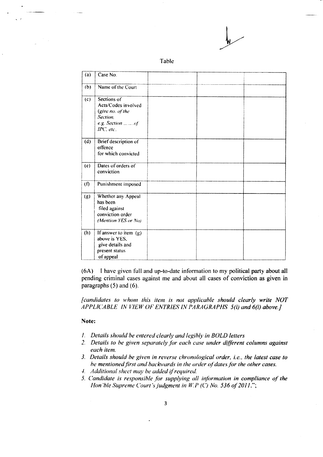| z. | ıl |  |
|----|----|--|
|    |    |  |

| (a) | Case No.                                                                                             |  |  |
|-----|------------------------------------------------------------------------------------------------------|--|--|
| (b) | Name of the Court                                                                                    |  |  |
| (c) | Sections of<br>Acts/Codes involved<br>(give no. of the<br>Section.<br>e.g. Section of<br>$IPC$ , etc |  |  |
| (d) | Brief description of<br>offence<br>for which convicted                                               |  |  |
| (e) | Dates of orders of<br>conviction                                                                     |  |  |
| (f) | Punishment imposed                                                                                   |  |  |
| (g) | Whether any Appeal<br>has been<br>filed against<br>conviction order<br>(Mention YES or No)           |  |  |
| (h) | If answer to item (g)<br>above is YES,<br>give details and<br>present status<br>of appeal            |  |  |

*(6A)* I have given full and up-to-date information to my political party about all pending criminal cases against me and about all cases of conviction as given in paragraphs (5) and (6).

*[candidates to whom this item is not applicable should clearly write NOT APPLICABLE IN VIEW OF ENTRIES IN PARAGRAPHS 5(i) and 6(0 above.]*

#### Note:

- *1. Details should be entered clearly and legibly in BOLD letters*
- *2. Details to be given separately for each case under different columns against each item.*
- *3, Details should be given in reverse chronological order, i.e., the latest case to be mentionedfirst and backwards in the order ofdatesfor the other cases.*
- -I. *Additional sheet may be added ifrequired.*
- *5, Candidate is responsible for supplying all information in compliance of the Hon ble Supreme Court's judgment in W.P (C) No.* 536 *of* 2011.";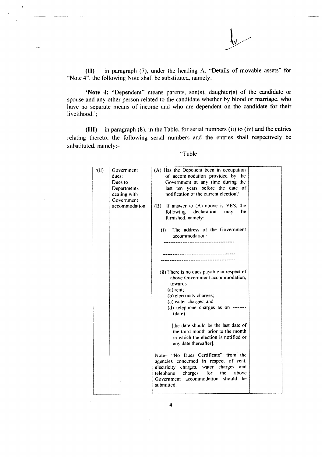

**(II)** in paragraph (7), under the heading A. "Details of movable assets" for "Note 4", the following Note shall be substituted, namely:-

**"Note 4:** "Dependent" means parents, son(s), daughter(s) of the candidate or spouse and any other person related to the candidate whether by blood or marriage, who have no separate means of income and who are dependent on the candidate for their livelihood.';

**(III)** in paragraph (8), in the Table, for serial numbers (ii) to (iv) and the entries relating thereto. the following serial numbers and the entries shall respectively be substituted, namely:-

"Table

| (iii) | Government    | (A) Has the Deponent been in occupation                                                                                                      |  |
|-------|---------------|----------------------------------------------------------------------------------------------------------------------------------------------|--|
|       | dues:         | of accommodation provided by the                                                                                                             |  |
|       | Dues to       | Government at any time during the                                                                                                            |  |
|       | Departments   | last ten years before the date of                                                                                                            |  |
|       | dealing with  | notification of the current election?                                                                                                        |  |
|       | Government    |                                                                                                                                              |  |
|       | accommodation | If answer to (A) above is YES, the<br>(B)<br>following declaration<br>may<br>be.<br>furnished, namely:-                                      |  |
|       |               | The address of the Government<br>(i)<br>accommodation:                                                                                       |  |
|       |               |                                                                                                                                              |  |
|       |               | (ii) There is no dues payable in respect of<br>above Government accommodation,<br>towards-                                                   |  |
|       |               | $(a)$ rent;                                                                                                                                  |  |
|       |               | (b) electricity charges;                                                                                                                     |  |
|       |               | (c) water charges; and                                                                                                                       |  |
|       |               | (d) telephone charges as on --------<br>(data)                                                                                               |  |
|       |               | [the date should be the last date of<br>the third month prior to the month<br>in which the election is notified or<br>any date thereafter].  |  |
|       |               | Note- "No Dues Certificate" from the<br>agencies concerned in respect of rent,                                                               |  |
|       |               | electricity charges, water charges<br>and<br>telephone<br>charges<br>for<br>the<br>above<br>Government accommodation should be<br>submitted. |  |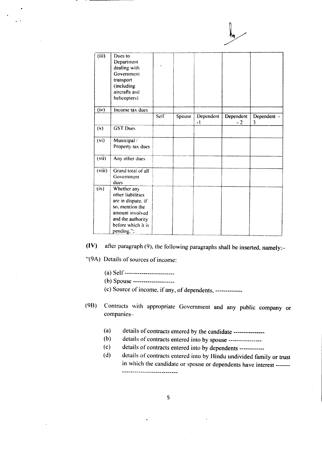| (iii)                   | Dues to<br>Department<br>dealing with<br>Government<br>transport<br>(including<br>aircrafts and<br>helicopters)                                       |             |        |                   |                   |                  |
|-------------------------|-------------------------------------------------------------------------------------------------------------------------------------------------------|-------------|--------|-------------------|-------------------|------------------|
| $\overline{({\sf iv})}$ | Income tax dues                                                                                                                                       |             |        |                   |                   |                  |
|                         |                                                                                                                                                       | <b>Self</b> | Spouse | Dependent<br>$-1$ | Dependent<br>$-2$ | Dependent -<br>3 |
| (v)                     | <b>GST Dues</b>                                                                                                                                       |             |        |                   |                   |                  |
| (vi)                    | Municipal /<br>Property tax dues                                                                                                                      |             |        |                   |                   |                  |
| (vii)                   | Any other dues                                                                                                                                        |             |        |                   |                   |                  |
| (viii)                  | Grand total of all<br>Government<br>dues                                                                                                              |             |        |                   |                   |                  |
| (ix)                    | Whether any<br>other liabilities<br>are in dispute, if<br>so, mention the<br>amount involved<br>and the authority<br>before which it is<br>pending."; |             |        |                   |                   |                  |

**(IV)** after paragraph (9). the following paragraphs shall be inserted, namely:-

*"(9A)* Details of sources of income:

- (a) Self ------------------------
- (b) Spouse --------------------

 $(c)$  Source of income, if any, of dependents, -------------

- (98) Contracts with appropriate Government and any public company or companies-
	- (a) details of contracts entered by the candidate ----------------
	- (b) details of contracts entered into by spouse ----------------
	- (c) details of contracts entered into by dependents ------------
	- (d) details of contracts entered into by Hindu undivided family or trust in which the candidate or spouse or dependents have interest ----------------------------------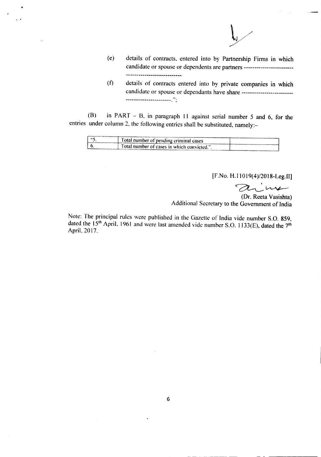

- (e) details of contracts. entered into by Partnership Firms in which candidate or spouse or dependents are partners ------------------------ ------------------------------
- (f) details of contracts entered into by private companies in which candidate or spouse or dependants have share --------------------------**----------------------** . ,

(B) in PART - B, in paragraph 11 against serial number 5 and 6, for the entries under column 2, the following entries shall be substituted, namely:-

..

|   | --<br>a number of pending criminal cases    |       |
|---|---------------------------------------------|-------|
| ັ | a otal number of cases in which convicted." |       |
|   |                                             | ----- |

[F.No. H.IIOI9(4)/2018-Leg.II]

 $\alpha$  in

(Dr. Reeta Vasishta) Additional Secretary to the Government of India

Note: The principal rules were published in the Gazette of India vide number S.O. 859, dated the  $15<sup>th</sup>$  April. 1961 and were last amended vide number S.O. 1133(E), dated the 7<sup>th</sup> April. 2017.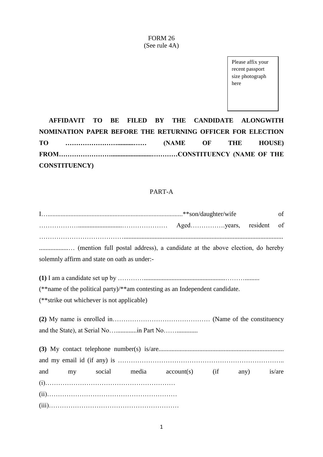#### FORM 26 (See rule 4A)

Please affix your recent passport size photograph here

**AFFIDAVIT TO BE FILED BY THE CANDIDATE ALONGWITH NOMINATION PAPER BEFORE THE RETURNING OFFICER FOR ELECTION TO ……………………..........…… (NAME OF THE HOUSE) FROM…………………….........................…………CONSTITUENCY (NAME OF THE CONSTITUENCY)**

## PART-A

|                                                                              |  |  |  |  |  | of     |  |
|------------------------------------------------------------------------------|--|--|--|--|--|--------|--|
|                                                                              |  |  |  |  |  |        |  |
| solemnly affirm and state on oath as under:-                                 |  |  |  |  |  |        |  |
|                                                                              |  |  |  |  |  |        |  |
| (**name of the political party)/**am contesting as an Independent candidate. |  |  |  |  |  |        |  |
| (**strike out whichever is not applicable)                                   |  |  |  |  |  |        |  |
|                                                                              |  |  |  |  |  |        |  |
|                                                                              |  |  |  |  |  |        |  |
|                                                                              |  |  |  |  |  |        |  |
|                                                                              |  |  |  |  |  |        |  |
| and my social media account(s) (if any)                                      |  |  |  |  |  | is/are |  |
|                                                                              |  |  |  |  |  |        |  |
|                                                                              |  |  |  |  |  |        |  |
|                                                                              |  |  |  |  |  |        |  |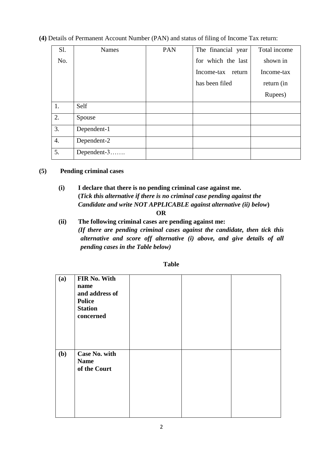## **(4)** Details of Permanent Account Number (PAN) and status of filing of Income Tax return:

| Sl.              | <b>Names</b> | PAN | The financial year | Total income |
|------------------|--------------|-----|--------------------|--------------|
| No.              |              |     | for which the last | shown in     |
|                  |              |     | Income-tax return  | Income-tax   |
|                  |              |     | has been filed     | return (in   |
|                  |              |     |                    | Rupees)      |
| 1.               | Self         |     |                    |              |
| 2.               | Spouse       |     |                    |              |
| 3.               | Dependent-1  |     |                    |              |
| $\overline{4}$ . | Dependent-2  |     |                    |              |
| 5.               | Dependent-3  |     |                    |              |

#### **(5) Pending criminal cases**

**(i) I declare that there is no pending criminal case against me. (***Tick this alternative if there is no criminal case pending against the Candidate and write NOT APPLICABLE against alternative (ii) below***)**

#### **OR**

**(ii) The following criminal cases are pending against me:** *(If there are pending criminal cases against the candidate, then tick this alternative and score off alternative (i) above, and give details of all pending cases in the Table below)*

| (a) | FIR No. With<br>name<br>and address of<br><b>Police</b><br><b>Station</b><br>concerned |  |  |
|-----|----------------------------------------------------------------------------------------|--|--|
| (b) | <b>Case No. with</b><br><b>Name</b><br>of the Court                                    |  |  |

### **Table**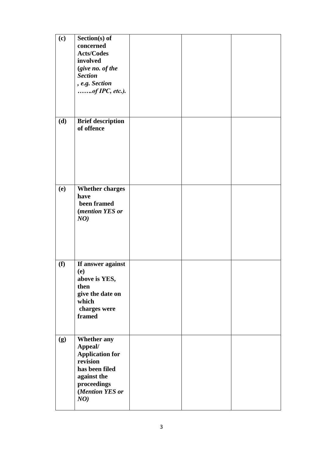| (c)        | Section(s) of<br>concerned<br><b>Acts/Codes</b><br>involved<br>(give no. of the<br><b>Section</b><br>, e.g. Section<br>ofIPC, etc.).          |  |  |
|------------|-----------------------------------------------------------------------------------------------------------------------------------------------|--|--|
| (d)        | <b>Brief description</b><br>of offence                                                                                                        |  |  |
| <b>(e)</b> | <b>Whether charges</b><br>have<br>been framed<br>(mention YES or<br>NO)                                                                       |  |  |
| (f)        | If answer against<br>(e)<br>above is YES,<br>then<br>give the date on<br>which<br>charges were<br>framed                                      |  |  |
| (g)        | <b>Whether any</b><br>Appeal/<br><b>Application for</b><br>revision<br>has been filed<br>against the<br>proceedings<br>(Mention YES or<br>NO) |  |  |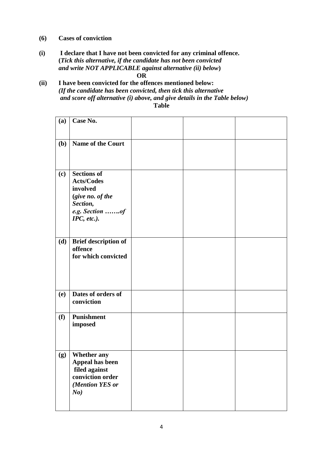- **(6) Cases of conviction**
- **(i) I declare that I have not been convicted for any criminal offence. (***Tick this alternative, if the candidate has not been convicted and write NOT APPLICABLE against alternative (ii) below***) OR**
- **(ii) I have been convicted for the offences mentioned below:** *(If the candidate has been convicted, then tick this alternative and score off alternative (i) above, and give details in the Table below)* **Table**

| (a)        | Case No.                                                                                                              |  |  |
|------------|-----------------------------------------------------------------------------------------------------------------------|--|--|
| (b)        | Name of the Court                                                                                                     |  |  |
| (c)        | <b>Sections of</b><br><b>Acts/Codes</b><br>involved<br>(give no. of the<br>Section,<br>e.g. Section of<br>IPC, etc.). |  |  |
| (d)        | <b>Brief description of</b><br>offence<br>for which convicted                                                         |  |  |
| <b>(e)</b> | Dates of orders of<br>conviction                                                                                      |  |  |
| (f)        | <b>Punishment</b><br>imposed                                                                                          |  |  |
| (g)        | <b>Whether any</b><br>Appeal has been<br>filed against<br>conviction order<br>(Mention YES or<br>No)                  |  |  |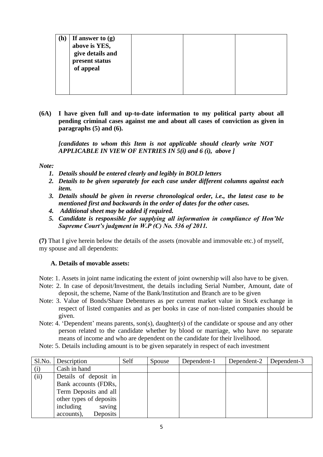| (h) | If answer to $(g)$<br>above is YES,<br>give details and<br>present status<br>of appeal |  |  |
|-----|----------------------------------------------------------------------------------------|--|--|
|     |                                                                                        |  |  |

**(6A) I have given full and up-to-date information to my political party about all pending criminal cases against me and about all cases of conviction as given in paragraphs (5) and (6).** 

*[candidates to whom this Item is not applicable should clearly write NOT APPLICABLE IN VIEW OF ENTRIES IN 5(i) and 6 (i), above ]*

#### *Note:*

- *1. Details should be entered clearly and legibly in BOLD letters*
- *2. Details to be given separately for each case under different columns against each item.*
- *3. Details should be given in reverse chronological order, i.e., the latest case to be mentioned first and backwards in the order of dates for the other cases.*
- *4. Additional sheet may be added if required.*
- *5. Candidate is responsible for supplying all information in compliance of Hon'ble Supreme Court's judgment in W.P (C) No. 536 of 2011.*

**(7)** That I give herein below the details of the assets (movable and immovable etc.) of myself, my spouse and all dependents:

#### **A. Details of movable assets:**

Note: 1. Assets in joint name indicating the extent of joint ownership will also have to be given.

- Note: 2. In case of deposit/Investment, the details including Serial Number, Amount, date of deposit, the scheme, Name of the Bank/Institution and Branch are to be given
- Note: 3. Value of Bonds/Share Debentures as per current market value in Stock exchange in respect of listed companies and as per books in case of non-listed companies should be given.
- Note: 4. 'Dependent' means parents, son(s), daughter(s) of the candidate or spouse and any other person related to the candidate whether by blood or marriage, who have no separate means of income and who are dependent on the candidate for their livelihood.
- Note: 5. Details including amount is to be given separately in respect of each investment

| Sl.No. | Description             | Self | Spouse | Dependent-1 | Dependent-2 | Dependent-3 |
|--------|-------------------------|------|--------|-------------|-------------|-------------|
| (i)    | Cash in hand            |      |        |             |             |             |
| (ii)   | Details of deposit in   |      |        |             |             |             |
|        | Bank accounts (FDRs,    |      |        |             |             |             |
|        | Term Deposits and all   |      |        |             |             |             |
|        | other types of deposits |      |        |             |             |             |
|        | including<br>saving     |      |        |             |             |             |
|        | Deposits<br>accounts),  |      |        |             |             |             |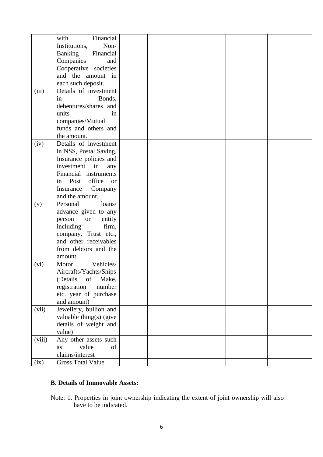|        | Financial<br>with                       |  |  |  |
|--------|-----------------------------------------|--|--|--|
|        | Institutions,<br>Non-                   |  |  |  |
|        | <b>Banking</b><br>Financial             |  |  |  |
|        | Companies<br>and                        |  |  |  |
|        | Cooperative societies                   |  |  |  |
|        | and the amount in                       |  |  |  |
|        | each such deposit.                      |  |  |  |
| (iii)  | Details of investment                   |  |  |  |
|        | in<br>Bonds,                            |  |  |  |
|        | debentures/shares and                   |  |  |  |
|        | units<br>in                             |  |  |  |
|        | companies/Mutual                        |  |  |  |
|        | funds and others and                    |  |  |  |
|        | the amount.                             |  |  |  |
| (iv)   | Details of investment                   |  |  |  |
|        |                                         |  |  |  |
|        | in NSS, Postal Saving,                  |  |  |  |
|        | Insurance policies and<br>investment in |  |  |  |
|        | any<br>Financial instruments            |  |  |  |
|        |                                         |  |  |  |
|        | in Post office<br><b>or</b>             |  |  |  |
|        | Insurance Company                       |  |  |  |
|        | and the amount.                         |  |  |  |
| (v)    | Personal<br>loans/                      |  |  |  |
|        | advance given to any                    |  |  |  |
|        | entity<br>person<br><b>or</b>           |  |  |  |
|        | including<br>firm,                      |  |  |  |
|        | company, Trust etc.,                    |  |  |  |
|        | and other receivables                   |  |  |  |
|        | from debtors and the                    |  |  |  |
|        | amount.                                 |  |  |  |
| (vi)   | Vehicles/<br>Motor                      |  |  |  |
|        | Aircrafts/Yachts/Ships                  |  |  |  |
|        | (Details<br>of<br>Make,                 |  |  |  |
|        | registration<br>number                  |  |  |  |
|        | etc. year of purchase                   |  |  |  |
|        | and amount)                             |  |  |  |
| (vii)  | Jewellery, bullion and                  |  |  |  |
|        | valuable thing(s) (give                 |  |  |  |
|        | details of weight and                   |  |  |  |
|        | value)                                  |  |  |  |
| (viii) | Any other assets such                   |  |  |  |
|        | value<br>as<br>of                       |  |  |  |
|        | claims/interest                         |  |  |  |
| (ix)   | <b>Gross Total Value</b>                |  |  |  |

## **B. Details of Immovable Assets:**

Note: 1. Properties in joint ownership indicating the extent of joint ownership will also have to be indicated.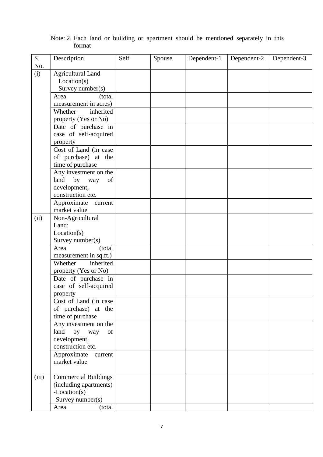| S.    | Description                        | Self | Spouse | Dependent-1 | Dependent-2 | Dependent-3 |
|-------|------------------------------------|------|--------|-------------|-------------|-------------|
| No.   |                                    |      |        |             |             |             |
| (i)   | <b>Agricultural Land</b>           |      |        |             |             |             |
|       | Location(s)                        |      |        |             |             |             |
|       | Survey number(s)                   |      |        |             |             |             |
|       | (total<br>Area                     |      |        |             |             |             |
|       | measurement in acres)              |      |        |             |             |             |
|       | inherited<br>Whether               |      |        |             |             |             |
|       | property (Yes or No)               |      |        |             |             |             |
|       | Date of purchase in                |      |        |             |             |             |
|       | case of self-acquired              |      |        |             |             |             |
|       | property                           |      |        |             |             |             |
|       | Cost of Land (in case              |      |        |             |             |             |
|       | of purchase) at the                |      |        |             |             |             |
|       | time of purchase                   |      |        |             |             |             |
|       | Any investment on the              |      |        |             |             |             |
|       | land by way<br>of                  |      |        |             |             |             |
|       | development,                       |      |        |             |             |             |
|       | construction etc.                  |      |        |             |             |             |
|       | Approximate<br>current             |      |        |             |             |             |
|       | market value                       |      |        |             |             |             |
| (ii)  | Non-Agricultural                   |      |        |             |             |             |
|       | Land:                              |      |        |             |             |             |
|       | Location(s)                        |      |        |             |             |             |
|       | Survey number(s)<br>Area<br>(total |      |        |             |             |             |
|       | measurement in sq.ft.)             |      |        |             |             |             |
|       | Whether<br>inherited               |      |        |             |             |             |
|       | property (Yes or No)               |      |        |             |             |             |
|       | Date of purchase in                |      |        |             |             |             |
|       | case of self-acquired              |      |        |             |             |             |
|       | property                           |      |        |             |             |             |
|       | Cost of Land (in case              |      |        |             |             |             |
|       | of purchase) at the                |      |        |             |             |             |
|       | time of purchase                   |      |        |             |             |             |
|       | Any investment on the              |      |        |             |             |             |
|       | by way<br>land<br>of               |      |        |             |             |             |
|       | development,                       |      |        |             |             |             |
|       | construction etc.                  |      |        |             |             |             |
|       | Approximate current                |      |        |             |             |             |
|       | market value                       |      |        |             |             |             |
|       |                                    |      |        |             |             |             |
| (iii) | <b>Commercial Buildings</b>        |      |        |             |             |             |
|       | (including apartments)             |      |        |             |             |             |
|       | -Location(s)                       |      |        |             |             |             |
|       | -Survey number(s)                  |      |        |             |             |             |
|       | (total<br>Area                     |      |        |             |             |             |

Note: 2. Each land or building or apartment should be mentioned separately in this format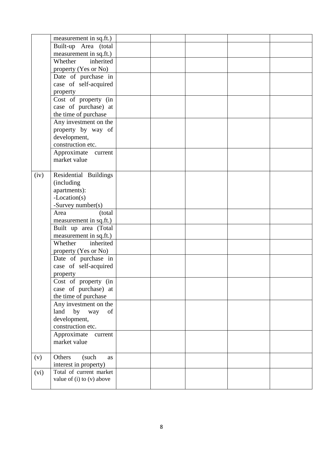|      | measurement in sq.ft.)    |  |  |  |
|------|---------------------------|--|--|--|
|      | Built-up Area (total      |  |  |  |
|      | measurement in sq.ft.)    |  |  |  |
|      | inherited<br>Whether      |  |  |  |
|      | property (Yes or No)      |  |  |  |
|      |                           |  |  |  |
|      | Date of purchase in       |  |  |  |
|      | case of self-acquired     |  |  |  |
|      | property                  |  |  |  |
|      | Cost of property (in      |  |  |  |
|      | case of purchase) at      |  |  |  |
|      | the time of purchase      |  |  |  |
|      | Any investment on the     |  |  |  |
|      |                           |  |  |  |
|      | property by way of        |  |  |  |
|      | development,              |  |  |  |
|      | construction etc.         |  |  |  |
|      | Approximate<br>current    |  |  |  |
|      | market value              |  |  |  |
|      |                           |  |  |  |
|      |                           |  |  |  |
| (iv) | Residential Buildings     |  |  |  |
|      | (including                |  |  |  |
|      | apartments):              |  |  |  |
|      | $-Location(s)$            |  |  |  |
|      | -Survey number(s)         |  |  |  |
|      | Area<br>(total            |  |  |  |
|      | measurement in sq.ft.)    |  |  |  |
|      | Built up area (Total      |  |  |  |
|      |                           |  |  |  |
|      | measurement in sq.ft.)    |  |  |  |
|      | inherited<br>Whether      |  |  |  |
|      | property (Yes or No)      |  |  |  |
|      | Date of purchase in       |  |  |  |
|      | case of self-acquired     |  |  |  |
|      | property                  |  |  |  |
|      | Cost of property (in      |  |  |  |
|      |                           |  |  |  |
|      | case of purchase) at      |  |  |  |
|      | the time of purchase      |  |  |  |
|      | Any investment on the     |  |  |  |
|      | by way<br>land<br>of      |  |  |  |
|      | development,              |  |  |  |
|      | construction etc.         |  |  |  |
|      | Approximate<br>current    |  |  |  |
|      | market value              |  |  |  |
|      |                           |  |  |  |
|      |                           |  |  |  |
| (v)  | Others<br>(such<br>as     |  |  |  |
|      | interest in property)     |  |  |  |
| (vi) | Total of current market   |  |  |  |
|      | value of (i) to (v) above |  |  |  |
|      |                           |  |  |  |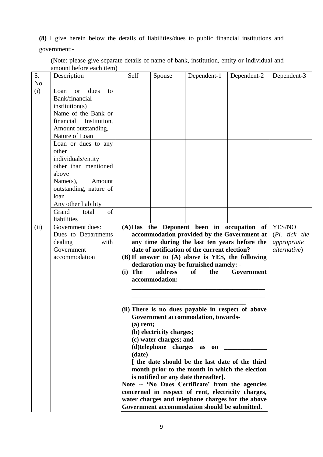**(8)** I give herein below the details of liabilities/dues to public financial institutions and

government:-

| S.<br>No. | Description                                                                                                                                                                                                                                                                                                                                                    | Self                                                                                                                                                                                                                                                                                                                                                                                                                                                                                                                                                             | Spouse                    | Dependent-1                                                                                                                                                                                                                                                     | Dependent-2                                              | Dependent-3                                            |
|-----------|----------------------------------------------------------------------------------------------------------------------------------------------------------------------------------------------------------------------------------------------------------------------------------------------------------------------------------------------------------------|------------------------------------------------------------------------------------------------------------------------------------------------------------------------------------------------------------------------------------------------------------------------------------------------------------------------------------------------------------------------------------------------------------------------------------------------------------------------------------------------------------------------------------------------------------------|---------------------------|-----------------------------------------------------------------------------------------------------------------------------------------------------------------------------------------------------------------------------------------------------------------|----------------------------------------------------------|--------------------------------------------------------|
| (i)       | Loan<br>dues<br><b>or</b><br>to<br>Bank/financial<br>institution(s)<br>Name of the Bank or<br>financial<br>Institution,<br>Amount outstanding,<br>Nature of Loan<br>Loan or dues to any<br>other<br>individuals/entity<br>other than mentioned<br>above<br>Name(s),<br>Amount<br>outstanding, nature of<br>loan<br>Any other liability<br>Grand<br>of<br>total |                                                                                                                                                                                                                                                                                                                                                                                                                                                                                                                                                                  |                           |                                                                                                                                                                                                                                                                 |                                                          |                                                        |
|           | liabilities                                                                                                                                                                                                                                                                                                                                                    |                                                                                                                                                                                                                                                                                                                                                                                                                                                                                                                                                                  |                           |                                                                                                                                                                                                                                                                 |                                                          |                                                        |
| (ii)      | Government dues:<br>Dues to Departments<br>dealing<br>with<br>Government<br>accommodation                                                                                                                                                                                                                                                                      | $(i)$ The                                                                                                                                                                                                                                                                                                                                                                                                                                                                                                                                                        | address<br>accommodation: | accommodation provided by the Government at<br>any time during the last ten years before the<br>date of notification of the current election?<br>(B) If answer to (A) above is YES, the following<br>declaration may be furnished namely: -<br><b>of</b><br>the | (A) Has the Deponent been in occupation of<br>Government | YES/NO<br>(Pl. tick the<br>appropriate<br>alternative) |
|           |                                                                                                                                                                                                                                                                                                                                                                | (ii) There is no dues payable in respect of above<br>Government accommodation, towards-<br>$(a)$ rent;<br>(b) electricity charges;<br>(c) water charges; and<br>(d)telephone charges as on<br>(date)<br>I the date should be the last date of the third<br>month prior to the month in which the election<br>is notified or any date thereafter].<br>Note -- 'No Dues Certificate' from the agencies<br>concerned in respect of rent, electricity charges,<br>water charges and telephone charges for the above<br>Government accommodation should be submitted. |                           |                                                                                                                                                                                                                                                                 |                                                          |                                                        |

(Note: please give separate details of name of bank, institution, entity or individual and amount before each item)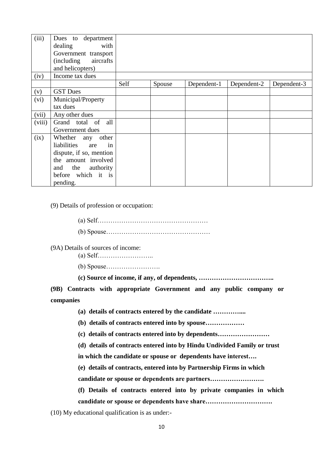| (iii)  | Dues to department<br>dealing<br>with<br>Government transport<br>aircrafts<br><i>(including)</i><br>and helicopters) |      |        |             |             |             |
|--------|----------------------------------------------------------------------------------------------------------------------|------|--------|-------------|-------------|-------------|
| (iv)   | Income tax dues                                                                                                      |      |        |             |             |             |
|        |                                                                                                                      | Self | Spouse | Dependent-1 | Dependent-2 | Dependent-3 |
| (v)    | <b>GST</b> Dues                                                                                                      |      |        |             |             |             |
| (vi)   | Municipal/Property                                                                                                   |      |        |             |             |             |
|        | tax dues                                                                                                             |      |        |             |             |             |
| (vii)  | Any other dues                                                                                                       |      |        |             |             |             |
| (viii) | Grand total of all                                                                                                   |      |        |             |             |             |
|        | Government dues                                                                                                      |      |        |             |             |             |
| (ix)   | Whether any other                                                                                                    |      |        |             |             |             |
|        | in<br>liabilities<br>are                                                                                             |      |        |             |             |             |
|        | dispute, if so, mention                                                                                              |      |        |             |             |             |
|        | the amount involved                                                                                                  |      |        |             |             |             |
|        | and the authority                                                                                                    |      |        |             |             |             |
|        | before which it is                                                                                                   |      |        |             |             |             |
|        | pending.                                                                                                             |      |        |             |             |             |

(9) Details of profession or occupation:

(a) Self…………………………………………… (b) Spouse…………………………………………

(9A) Details of sources of income:

- (a) Self……………………..
- (b) Spouse…………………….

**(c) Source of income, if any, of dependents, ……………………………..**

**(9B) Contracts with appropriate Government and any public company or companies**

**(a) details of contracts entered by the candidate …………....**

**(b) details of contracts entered into by spouse………………** 

**(c) details of contracts entered into by dependents……………………**

**(d) details of contracts entered into by Hindu Undivided Family or trust** 

**in which the candidate or spouse or dependents have interest….** 

**(e) details of contracts, entered into by Partnership Firms in which** 

**candidate or spouse or dependents are partners…………………….** 

**(f) Details of contracts entered into by private companies in which candidate or spouse or dependents have share………………………….**

(10) My educational qualification is as under:-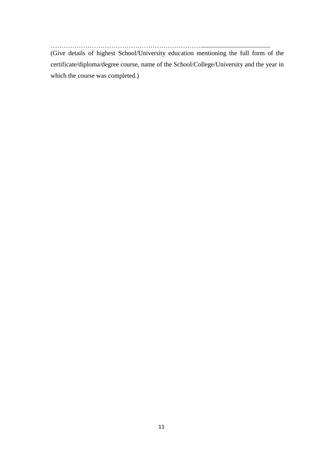……………………………………………………………........................................... (Give details of highest School/University education mentioning the full form of the certificate/diploma/degree course, name of the School/College/University and the year in which the course was completed.)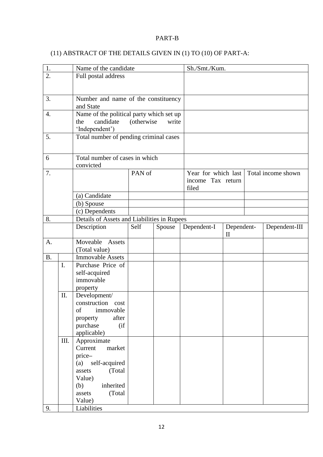## PART-B

## (11) ABSTRACT OF THE DETAILS GIVEN IN (1) TO (10) OF PART-A:

| 1.               |      | Name of the candidate                       |             |        | Sh./Smt./Kum.       |                                               |                    |
|------------------|------|---------------------------------------------|-------------|--------|---------------------|-----------------------------------------------|--------------------|
| $\overline{2}$ . |      | Full postal address                         |             |        |                     |                                               |                    |
|                  |      |                                             |             |        |                     |                                               |                    |
|                  |      |                                             |             |        |                     |                                               |                    |
| 3.               |      | Number and name of the constituency         |             |        |                     |                                               |                    |
|                  |      | and State                                   |             |        |                     |                                               |                    |
| 4.               |      | Name of the political party which set up    |             |        |                     |                                               |                    |
|                  |      | candidate<br>the                            | (otherwise) | write  |                     |                                               |                    |
|                  |      | 'Independent')                              |             |        |                     |                                               |                    |
| 5.               |      | Total number of pending criminal cases      |             |        |                     |                                               |                    |
|                  |      |                                             |             |        |                     |                                               |                    |
|                  |      |                                             |             |        |                     |                                               |                    |
| 6                |      | Total number of cases in which              |             |        |                     |                                               |                    |
|                  |      | convicted                                   |             |        |                     |                                               |                    |
| 7.               |      |                                             | PAN of      |        | Year for which last |                                               | Total income shown |
|                  |      |                                             |             |        | income Tax return   |                                               |                    |
|                  |      |                                             |             |        | filed               |                                               |                    |
|                  |      | (a) Candidate                               |             |        |                     |                                               |                    |
|                  |      | (b) Spouse                                  |             |        |                     |                                               |                    |
|                  |      | (c) Dependents                              |             |        |                     |                                               |                    |
| 8.               |      | Details of Assets and Liabilities in Rupees |             |        |                     |                                               |                    |
|                  |      | Description                                 | Self        | Spouse | Dependent-I         | Dependent-<br>$\mathop{\mathrm{II}}\nolimits$ | Dependent-III      |
| A.               |      | Moveable Assets                             |             |        |                     |                                               |                    |
|                  |      | (Total value)                               |             |        |                     |                                               |                    |
| <b>B.</b>        |      | <b>Immovable Assets</b>                     |             |        |                     |                                               |                    |
|                  | I.   | Purchase Price of                           |             |        |                     |                                               |                    |
|                  |      | self-acquired                               |             |        |                     |                                               |                    |
|                  |      | immovable                                   |             |        |                     |                                               |                    |
|                  |      | property                                    |             |        |                     |                                               |                    |
|                  | II.  | Development/                                |             |        |                     |                                               |                    |
|                  |      | construction cost                           |             |        |                     |                                               |                    |
|                  |      | immovable<br>of                             |             |        |                     |                                               |                    |
|                  |      | after<br>property                           |             |        |                     |                                               |                    |
|                  |      | purchase<br>(i f)                           |             |        |                     |                                               |                    |
|                  |      | applicable)                                 |             |        |                     |                                               |                    |
|                  | III. | Approximate                                 |             |        |                     |                                               |                    |
|                  |      | Current<br>market                           |             |        |                     |                                               |                    |
|                  |      | price-                                      |             |        |                     |                                               |                    |
|                  |      | (a) self-acquired                           |             |        |                     |                                               |                    |
|                  |      | (Total)<br>assets                           |             |        |                     |                                               |                    |
|                  |      | Value)                                      |             |        |                     |                                               |                    |
|                  |      | inherited<br>(b)                            |             |        |                     |                                               |                    |
|                  |      | (Total)<br>assets<br>Value)                 |             |        |                     |                                               |                    |
| 9.               |      | Liabilities                                 |             |        |                     |                                               |                    |
|                  |      |                                             |             |        |                     |                                               |                    |